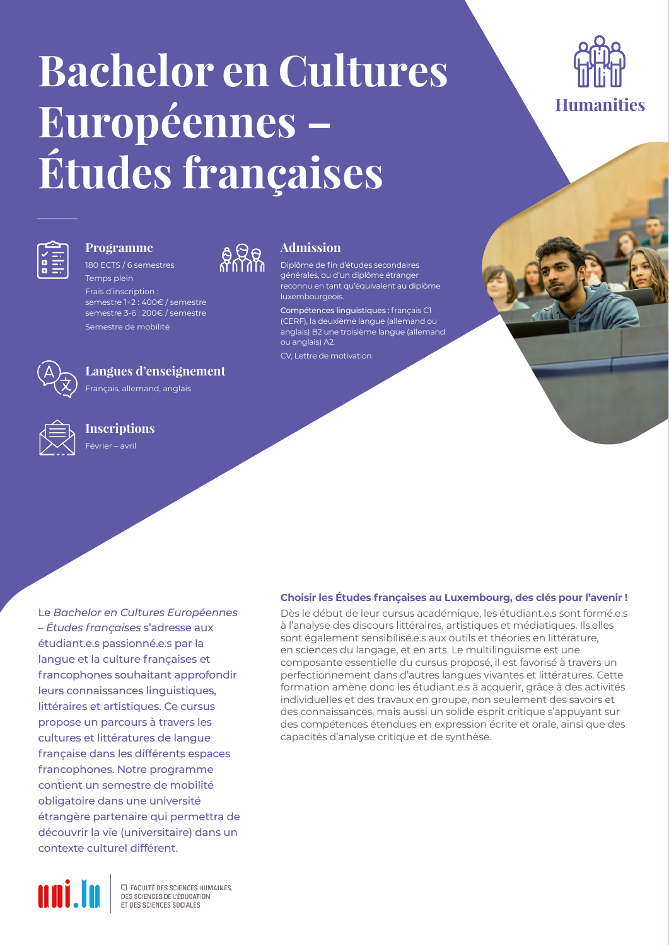# **Bachelor en Cultures Européennes – Études françaises**





### **Programme** 180 ECTS / 6 semestres

Temps plein Frais d'inscription : semestre 1+2 : 400€ / semestre semestre 3-6 : 200€ / semestre Semestre de mobilité



### **Langues d'enseignement**

Français, allemand, anglais

**Inscriptions** Février – avril

Le *Bachelor en Cultures Européennes – Études françaises* s'adresse aux étudiant.e.s passionné.e.s par la langue et la culture françaises et francophones souhaitant approfondir leurs connaissances linguistiques, littéraires et artistiques. Ce cursus propose un parcours à travers les cultures et littératures de langue française dans les différents espaces francophones. Notre programme contient un semestre de mobilité obligatoire dans une université étrangère partenaire qui permettra de découvrir la vie (universitaire) dans un contexte culturel différent.



**EL FACULTÉ DES SCIENCES HUMAINES.** DES SCIENCES DE L'ÉDUCATION ET DES SCIENCES SOCIALES



### **Admission**

Diplôme de fin d'études secondaires générales, ou d'un diplôme étranger reconnu en tant qu'équivalent au diplôme luxembourgeois.

Compétences linguistiques : français C1 (CERF), la deuxième langue (allemand ou anglais) B2 une troisième langue (allemand ou anglais) A2.

CV, Lettre de motivation

### **Choisir les Études françaises au Luxembourg, des clés pour l'avenir !**

Dès le début de leur cursus académique, les étudiant.e.s sont formé.e.s à l'analyse des discours littéraires, artistiques et médiatiques. Ils.elles sont également sensibilisé.e.s aux outils et théories en littérature, en sciences du langage, et en arts. Le multilinguisme est une composante essentielle du cursus proposé, il est favorisé à travers un perfectionnement dans d'autres langues vivantes et littératures. Cette formation amène donc les étudiant.e.s à acquerir, grâce à des activités individuelles et des travaux en groupe, non seulement des savoirs et des connaissances, mais aussi un solide esprit critique s'appuyant sur des compétences étendues en expression écrite et orale, ainsi que des capacités d'analyse critique et de synthèse.